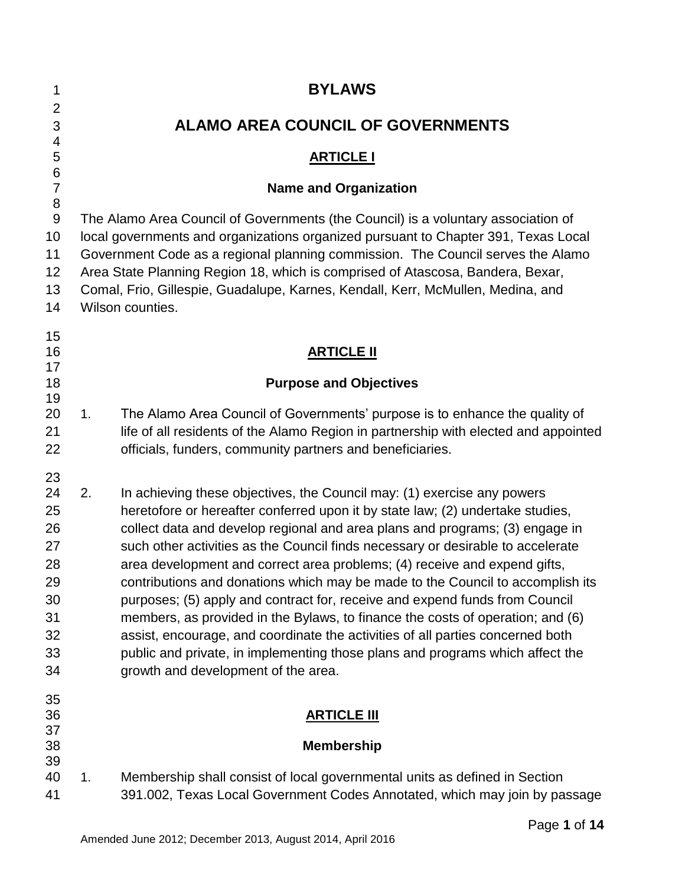| 1                                                                    |                                          | <b>BYLAWS</b>                                                                                                                                                                                                                                                                                                                                                                                                                                                                                                                                                                                                                                                                                                                                                                                                                                                          |  |  |
|----------------------------------------------------------------------|------------------------------------------|------------------------------------------------------------------------------------------------------------------------------------------------------------------------------------------------------------------------------------------------------------------------------------------------------------------------------------------------------------------------------------------------------------------------------------------------------------------------------------------------------------------------------------------------------------------------------------------------------------------------------------------------------------------------------------------------------------------------------------------------------------------------------------------------------------------------------------------------------------------------|--|--|
| $\overline{2}$<br>3                                                  | <b>ALAMO AREA COUNCIL OF GOVERNMENTS</b> |                                                                                                                                                                                                                                                                                                                                                                                                                                                                                                                                                                                                                                                                                                                                                                                                                                                                        |  |  |
| 4<br>5                                                               | <b>ARTICLE I</b>                         |                                                                                                                                                                                                                                                                                                                                                                                                                                                                                                                                                                                                                                                                                                                                                                                                                                                                        |  |  |
| $\,6$<br>$\overline{7}$                                              |                                          | <b>Name and Organization</b>                                                                                                                                                                                                                                                                                                                                                                                                                                                                                                                                                                                                                                                                                                                                                                                                                                           |  |  |
| 8<br>$9\,$<br>10<br>11<br>12<br>13<br>14                             |                                          | The Alamo Area Council of Governments (the Council) is a voluntary association of<br>local governments and organizations organized pursuant to Chapter 391, Texas Local<br>Government Code as a regional planning commission. The Council serves the Alamo<br>Area State Planning Region 18, which is comprised of Atascosa, Bandera, Bexar,<br>Comal, Frio, Gillespie, Guadalupe, Karnes, Kendall, Kerr, McMullen, Medina, and<br>Wilson counties.                                                                                                                                                                                                                                                                                                                                                                                                                    |  |  |
| 15<br>16                                                             |                                          | <b>ARTICLE II</b>                                                                                                                                                                                                                                                                                                                                                                                                                                                                                                                                                                                                                                                                                                                                                                                                                                                      |  |  |
| 17<br>18                                                             |                                          | <b>Purpose and Objectives</b>                                                                                                                                                                                                                                                                                                                                                                                                                                                                                                                                                                                                                                                                                                                                                                                                                                          |  |  |
| 19<br>20<br>21<br>22                                                 | 1.                                       | The Alamo Area Council of Governments' purpose is to enhance the quality of<br>life of all residents of the Alamo Region in partnership with elected and appointed<br>officials, funders, community partners and beneficiaries.                                                                                                                                                                                                                                                                                                                                                                                                                                                                                                                                                                                                                                        |  |  |
| 23<br>24<br>25<br>26<br>27<br>28<br>29<br>30<br>31<br>32<br>33<br>34 | 2.                                       | In achieving these objectives, the Council may: (1) exercise any powers<br>heretofore or hereafter conferred upon it by state law; (2) undertake studies,<br>collect data and develop regional and area plans and programs; (3) engage in<br>such other activities as the Council finds necessary or desirable to accelerate<br>area development and correct area problems; (4) receive and expend gifts,<br>contributions and donations which may be made to the Council to accomplish its<br>purposes; (5) apply and contract for, receive and expend funds from Council<br>members, as provided in the Bylaws, to finance the costs of operation; and (6)<br>assist, encourage, and coordinate the activities of all parties concerned both<br>public and private, in implementing those plans and programs which affect the<br>growth and development of the area. |  |  |
| 35<br>36                                                             |                                          | <b>ARTICLE III</b>                                                                                                                                                                                                                                                                                                                                                                                                                                                                                                                                                                                                                                                                                                                                                                                                                                                     |  |  |
| 37<br>38                                                             |                                          | <b>Membership</b>                                                                                                                                                                                                                                                                                                                                                                                                                                                                                                                                                                                                                                                                                                                                                                                                                                                      |  |  |
| 39<br>40<br>41                                                       | 1.                                       | Membership shall consist of local governmental units as defined in Section<br>391.002, Texas Local Government Codes Annotated, which may join by passage                                                                                                                                                                                                                                                                                                                                                                                                                                                                                                                                                                                                                                                                                                               |  |  |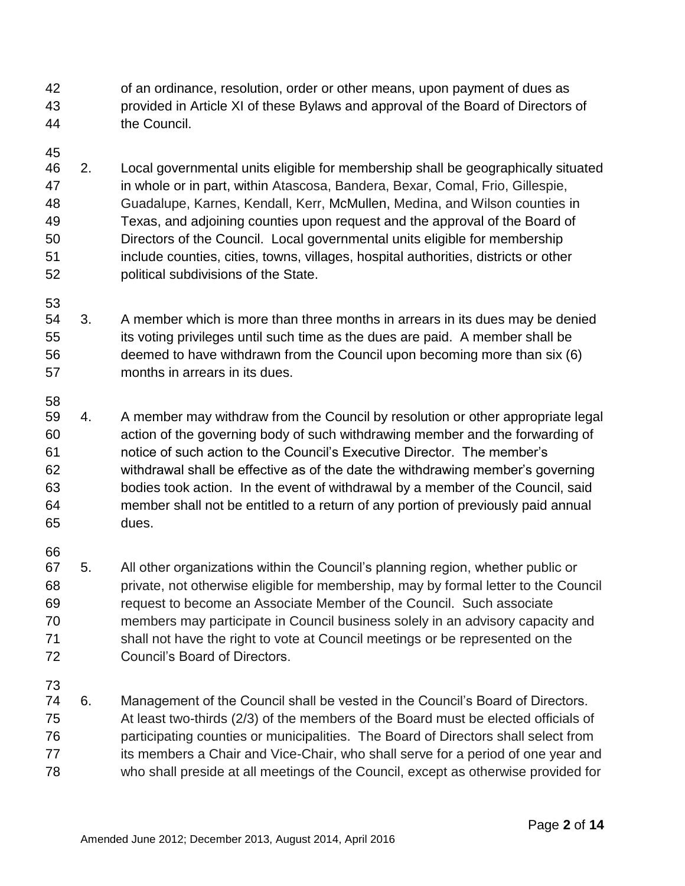of an ordinance, resolution, order or other means, upon payment of dues as provided in Article XI of these Bylaws and approval of the Board of Directors of the Council.

 2. Local governmental units eligible for membership shall be geographically situated in whole or in part, within Atascosa, Bandera, Bexar, Comal, Frio, Gillespie, Guadalupe, Karnes, Kendall, Kerr, McMullen, Medina, and Wilson counties in Texas, and adjoining counties upon request and the approval of the Board of Directors of the Council. Local governmental units eligible for membership include counties, cities, towns, villages, hospital authorities, districts or other political subdivisions of the State.

 3. A member which is more than three months in arrears in its dues may be denied its voting privileges until such time as the dues are paid. A member shall be deemed to have withdrawn from the Council upon becoming more than six (6) months in arrears in its dues.

 4. A member may withdraw from the Council by resolution or other appropriate legal action of the governing body of such withdrawing member and the forwarding of notice of such action to the Council's Executive Director. The member's withdrawal shall be effective as of the date the withdrawing member's governing bodies took action. In the event of withdrawal by a member of the Council, said member shall not be entitled to a return of any portion of previously paid annual dues.

 5. All other organizations within the Council's planning region, whether public or private, not otherwise eligible for membership, may by formal letter to the Council request to become an Associate Member of the Council. Such associate members may participate in Council business solely in an advisory capacity and shall not have the right to vote at Council meetings or be represented on the Council's Board of Directors.

 6. Management of the Council shall be vested in the Council's Board of Directors. At least two-thirds (2/3) of the members of the Board must be elected officials of participating counties or municipalities. The Board of Directors shall select from 77 its members a Chair and Vice-Chair, who shall serve for a period of one year and who shall preside at all meetings of the Council, except as otherwise provided for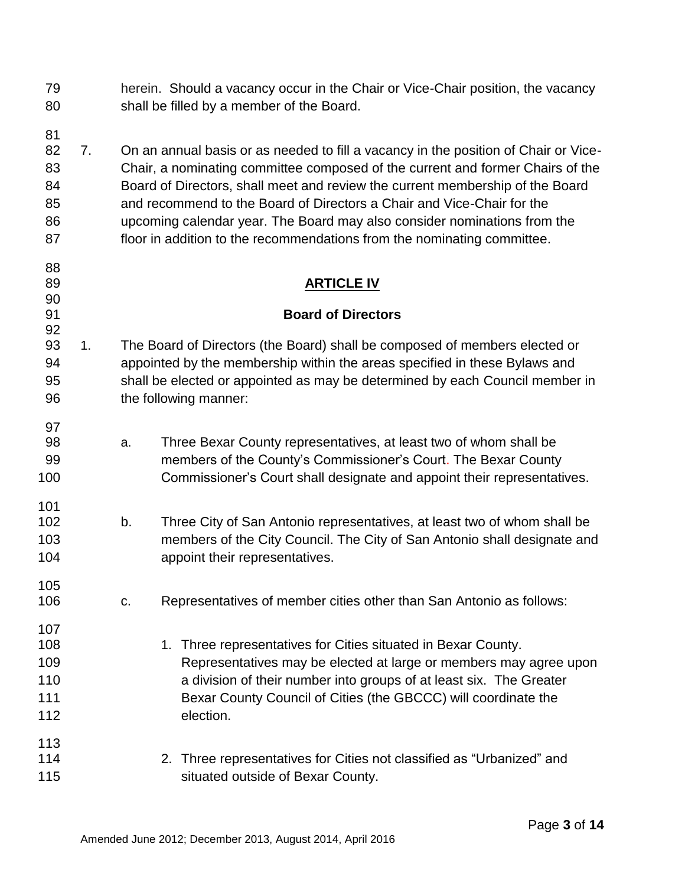| 79 | herein. Should a vacancy occur in the Chair or Vice-Chair position, the vacancy |
|----|---------------------------------------------------------------------------------|
| 80 | shall be filled by a member of the Board.                                       |

 7. On an annual basis or as needed to fill a vacancy in the position of Chair or Vice- Chair, a nominating committee composed of the current and former Chairs of the Board of Directors, shall meet and review the current membership of the Board and recommend to the Board of Directors a Chair and Vice-Chair for the upcoming calendar year. The Board may also consider nominations from the 87 floor in addition to the recommendations from the nominating committee.

## **ARTICLE IV**

## **Board of Directors**

- 1. The Board of Directors (the Board) shall be composed of members elected or appointed by the membership within the areas specified in these Bylaws and shall be elected or appointed as may be determined by each Council member in 96 the following manner:
- a. Three Bexar County representatives, at least two of whom shall be members of the County's Commissioner's Court. The Bexar County Commissioner's Court shall designate and appoint their representatives.
- b. Three City of San Antonio representatives, at least two of whom shall be members of the City Council. The City of San Antonio shall designate and **appoint their representatives.**
- c. Representatives of member cities other than San Antonio as follows:
- 108 108 1. Three representatives for Cities situated in Bexar County. Representatives may be elected at large or members may agree upon a division of their number into groups of at least six. The Greater Bexar County Council of Cities (the GBCCC) will coordinate the election.
- 2. Three representatives for Cities not classified as "Urbanized" and **Strumber Situated outside of Bexar County.**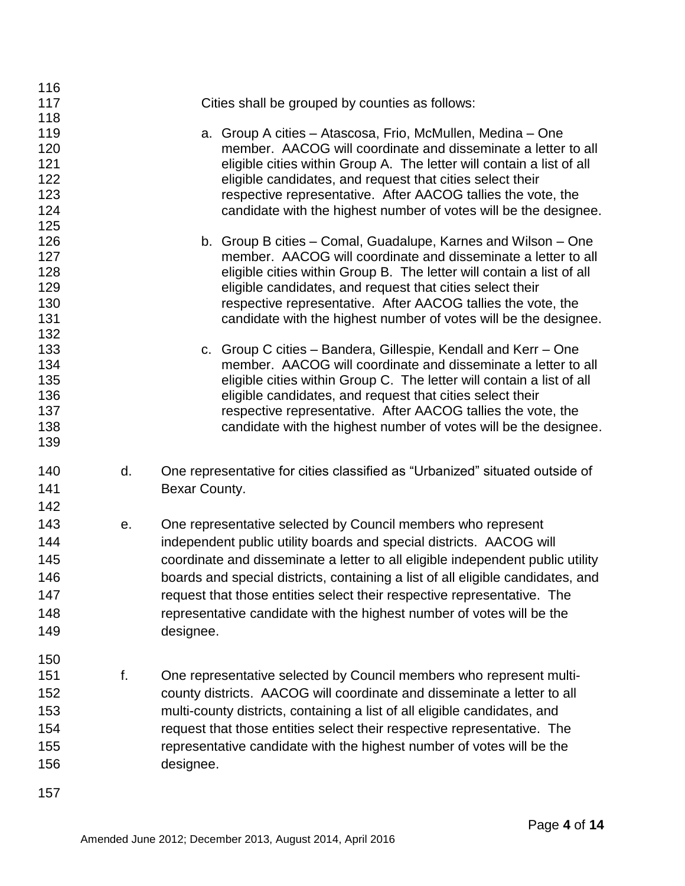| 116 |    |                                                                                 |
|-----|----|---------------------------------------------------------------------------------|
| 117 |    | Cities shall be grouped by counties as follows:                                 |
| 118 |    |                                                                                 |
| 119 |    | a. Group A cities – Atascosa, Frio, McMullen, Medina – One                      |
| 120 |    | member. AACOG will coordinate and disseminate a letter to all                   |
| 121 |    | eligible cities within Group A. The letter will contain a list of all           |
| 122 |    | eligible candidates, and request that cities select their                       |
| 123 |    | respective representative. After AACOG tallies the vote, the                    |
| 124 |    | candidate with the highest number of votes will be the designee.                |
| 125 |    |                                                                                 |
| 126 |    | b. Group B cities – Comal, Guadalupe, Karnes and Wilson – One                   |
| 127 |    | member. AACOG will coordinate and disseminate a letter to all                   |
| 128 |    | eligible cities within Group B. The letter will contain a list of all           |
| 129 |    | eligible candidates, and request that cities select their                       |
| 130 |    | respective representative. After AACOG tallies the vote, the                    |
| 131 |    | candidate with the highest number of votes will be the designee.                |
| 132 |    |                                                                                 |
| 133 |    | c. Group C cities – Bandera, Gillespie, Kendall and Kerr – One                  |
| 134 |    | member. AACOG will coordinate and disseminate a letter to all                   |
| 135 |    | eligible cities within Group C. The letter will contain a list of all           |
| 136 |    | eligible candidates, and request that cities select their                       |
| 137 |    | respective representative. After AACOG tallies the vote, the                    |
| 138 |    | candidate with the highest number of votes will be the designee.                |
| 139 |    |                                                                                 |
| 140 | d. | One representative for cities classified as "Urbanized" situated outside of     |
|     |    |                                                                                 |
| 141 |    | Bexar County.                                                                   |
| 142 |    |                                                                                 |
| 143 | е. | One representative selected by Council members who represent                    |
| 144 |    | independent public utility boards and special districts. AACOG will             |
| 145 |    | coordinate and disseminate a letter to all eligible independent public utility  |
| 146 |    | boards and special districts, containing a list of all eligible candidates, and |
| 147 |    | request that those entities select their respective representative. The         |
| 148 |    | representative candidate with the highest number of votes will be the           |
|     |    |                                                                                 |
| 149 |    | designee.                                                                       |
| 150 |    |                                                                                 |
| 151 | f. | One representative selected by Council members who represent multi-             |
|     |    |                                                                                 |
| 152 |    | county districts. AACOG will coordinate and disseminate a letter to all         |
| 153 |    | multi-county districts, containing a list of all eligible candidates, and       |
| 154 |    | request that those entities select their respective representative. The         |
| 155 |    | representative candidate with the highest number of votes will be the           |
| 156 |    | designee.                                                                       |
|     |    |                                                                                 |
| 157 |    |                                                                                 |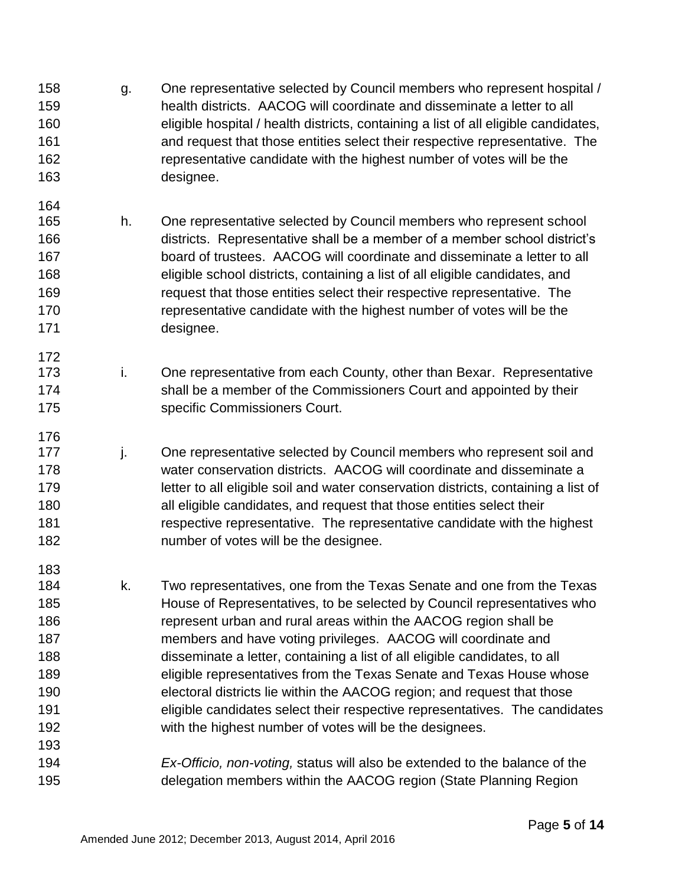- 158 g. One representative selected by Council members who represent hospital / health districts. AACOG will coordinate and disseminate a letter to all eligible hospital / health districts, containing a list of all eligible candidates, and request that those entities select their respective representative. The representative candidate with the highest number of votes will be the designee.
- h. One representative selected by Council members who represent school districts. Representative shall be a member of a member school district's board of trustees. AACOG will coordinate and disseminate a letter to all eligible school districts, containing a list of all eligible candidates, and request that those entities select their respective representative. The representative candidate with the highest number of votes will be the designee.

- 173 i. One representative from each County, other than Bexar. Representative 174 shall be a member of the Commissioners Court and appointed by their specific Commissioners Court.
- 177 i. One representative selected by Council members who represent soil and water conservation districts. AACOG will coordinate and disseminate a letter to all eligible soil and water conservation districts, containing a list of all eligible candidates, and request that those entities select their respective representative. The representative candidate with the highest number of votes will be the designee.
- k. Two representatives, one from the Texas Senate and one from the Texas House of Representatives, to be selected by Council representatives who represent urban and rural areas within the AACOG region shall be members and have voting privileges. AACOG will coordinate and disseminate a letter, containing a list of all eligible candidates, to all eligible representatives from the Texas Senate and Texas House whose electoral districts lie within the AACOG region; and request that those eligible candidates select their respective representatives. The candidates with the highest number of votes will be the designees.
- *Ex-Officio, non-voting,* status will also be extended to the balance of the delegation members within the AACOG region (State Planning Region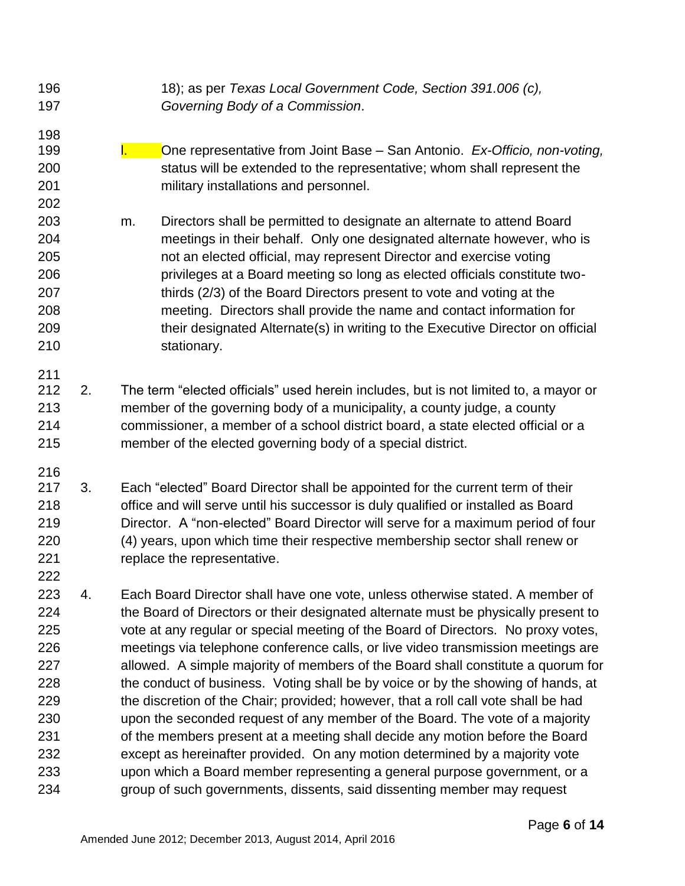*Governing Body of a Commission*. l. One representative from Joint Base – San Antonio. *Ex-Officio, non-voting,* status will be extended to the representative; whom shall represent the military installations and personnel. m. Directors shall be permitted to designate an alternate to attend Board meetings in their behalf. Only one designated alternate however, who is not an elected official, may represent Director and exercise voting privileges at a Board meeting so long as elected officials constitute two- thirds (2/3) of the Board Directors present to vote and voting at the meeting. Directors shall provide the name and contact information for their designated Alternate(s) in writing to the Executive Director on official stationary. 2. The term "elected officials" used herein includes, but is not limited to, a mayor or member of the governing body of a municipality, a county judge, a county commissioner, a member of a school district board, a state elected official or a member of the elected governing body of a special district. 3. Each "elected" Board Director shall be appointed for the current term of their office and will serve until his successor is duly qualified or installed as Board Director. A "non-elected" Board Director will serve for a maximum period of four (4) years, upon which time their respective membership sector shall renew or 221 replace the representative. 4. Each Board Director shall have one vote, unless otherwise stated. A member of the Board of Directors or their designated alternate must be physically present to vote at any regular or special meeting of the Board of Directors. No proxy votes, meetings via telephone conference calls, or live video transmission meetings are allowed. A simple majority of members of the Board shall constitute a quorum for the conduct of business. Voting shall be by voice or by the showing of hands, at the discretion of the Chair; provided; however, that a roll call vote shall be had upon the seconded request of any member of the Board. The vote of a majority of the members present at a meeting shall decide any motion before the Board except as hereinafter provided. On any motion determined by a majority vote upon which a Board member representing a general purpose government, or a group of such governments, dissents, said dissenting member may request

18); as per *Texas Local Government Code, Section 391.006 (c),*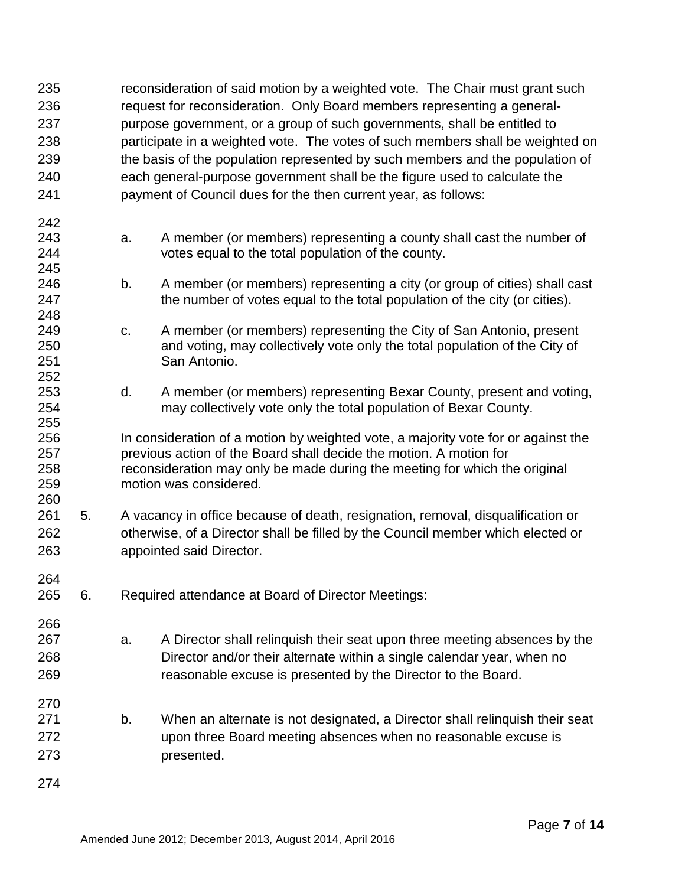| 235<br>236<br>237<br>238<br>239<br>240<br>241 |    | reconsideration of said motion by a weighted vote. The Chair must grant such<br>request for reconsideration. Only Board members representing a general-<br>purpose government, or a group of such governments, shall be entitled to<br>participate in a weighted vote. The votes of such members shall be weighted on<br>the basis of the population represented by such members and the population of<br>each general-purpose government shall be the figure used to calculate the<br>payment of Council dues for the then current year, as follows: |                                                                                                                                                                                                                                                                 |  |
|-----------------------------------------------|----|-------------------------------------------------------------------------------------------------------------------------------------------------------------------------------------------------------------------------------------------------------------------------------------------------------------------------------------------------------------------------------------------------------------------------------------------------------------------------------------------------------------------------------------------------------|-----------------------------------------------------------------------------------------------------------------------------------------------------------------------------------------------------------------------------------------------------------------|--|
| 242<br>243<br>244                             |    | a.                                                                                                                                                                                                                                                                                                                                                                                                                                                                                                                                                    | A member (or members) representing a county shall cast the number of<br>votes equal to the total population of the county.                                                                                                                                      |  |
| 245<br>246<br>247                             |    | b.                                                                                                                                                                                                                                                                                                                                                                                                                                                                                                                                                    | A member (or members) representing a city (or group of cities) shall cast<br>the number of votes equal to the total population of the city (or cities).                                                                                                         |  |
| 248<br>249<br>250<br>251                      |    | C.                                                                                                                                                                                                                                                                                                                                                                                                                                                                                                                                                    | A member (or members) representing the City of San Antonio, present<br>and voting, may collectively vote only the total population of the City of<br>San Antonio.                                                                                               |  |
| 252<br>253<br>254                             |    | d.                                                                                                                                                                                                                                                                                                                                                                                                                                                                                                                                                    | A member (or members) representing Bexar County, present and voting,<br>may collectively vote only the total population of Bexar County.                                                                                                                        |  |
| 255<br>256<br>257<br>258<br>259<br>260        |    |                                                                                                                                                                                                                                                                                                                                                                                                                                                                                                                                                       | In consideration of a motion by weighted vote, a majority vote for or against the<br>previous action of the Board shall decide the motion. A motion for<br>reconsideration may only be made during the meeting for which the original<br>motion was considered. |  |
| 261<br>262<br>263                             | 5. |                                                                                                                                                                                                                                                                                                                                                                                                                                                                                                                                                       | A vacancy in office because of death, resignation, removal, disqualification or<br>otherwise, of a Director shall be filled by the Council member which elected or<br>appointed said Director.                                                                  |  |
| 264<br>265                                    | 6. |                                                                                                                                                                                                                                                                                                                                                                                                                                                                                                                                                       | Required attendance at Board of Director Meetings:                                                                                                                                                                                                              |  |
| 266<br>267<br>268<br>269                      |    | a.                                                                                                                                                                                                                                                                                                                                                                                                                                                                                                                                                    | A Director shall relinquish their seat upon three meeting absences by the<br>Director and/or their alternate within a single calendar year, when no<br>reasonable excuse is presented by the Director to the Board.                                             |  |
| 270<br>271<br>272<br>273                      |    | b.                                                                                                                                                                                                                                                                                                                                                                                                                                                                                                                                                    | When an alternate is not designated, a Director shall relinguish their seat<br>upon three Board meeting absences when no reasonable excuse is<br>presented.                                                                                                     |  |
| 274                                           |    |                                                                                                                                                                                                                                                                                                                                                                                                                                                                                                                                                       |                                                                                                                                                                                                                                                                 |  |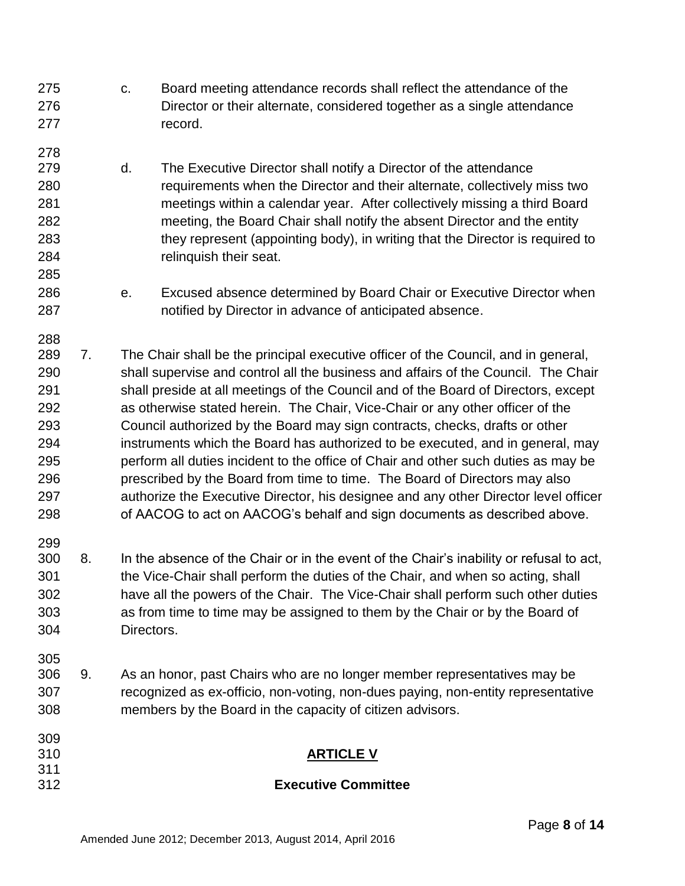c. Board meeting attendance records shall reflect the attendance of the Director or their alternate, considered together as a single attendance 277 record. d. The Executive Director shall notify a Director of the attendance requirements when the Director and their alternate, collectively miss two meetings within a calendar year. After collectively missing a third Board meeting, the Board Chair shall notify the absent Director and the entity they represent (appointing body), in writing that the Director is required to relinquish their seat. e. Excused absence determined by Board Chair or Executive Director when notified by Director in advance of anticipated absence. 7. The Chair shall be the principal executive officer of the Council, and in general, shall supervise and control all the business and affairs of the Council. The Chair shall preside at all meetings of the Council and of the Board of Directors, except as otherwise stated herein. The Chair, Vice-Chair or any other officer of the Council authorized by the Board may sign contracts, checks, drafts or other instruments which the Board has authorized to be executed, and in general, may perform all duties incident to the office of Chair and other such duties as may be prescribed by the Board from time to time. The Board of Directors may also authorize the Executive Director, his designee and any other Director level officer of AACOG to act on AACOG's behalf and sign documents as described above. 8. In the absence of the Chair or in the event of the Chair's inability or refusal to act, the Vice-Chair shall perform the duties of the Chair, and when so acting, shall have all the powers of the Chair. The Vice-Chair shall perform such other duties as from time to time may be assigned to them by the Chair or by the Board of Directors. 9. As an honor, past Chairs who are no longer member representatives may be recognized as ex-officio, non-voting, non-dues paying, non-entity representative members by the Board in the capacity of citizen advisors. **ARTICLE V Executive Committee**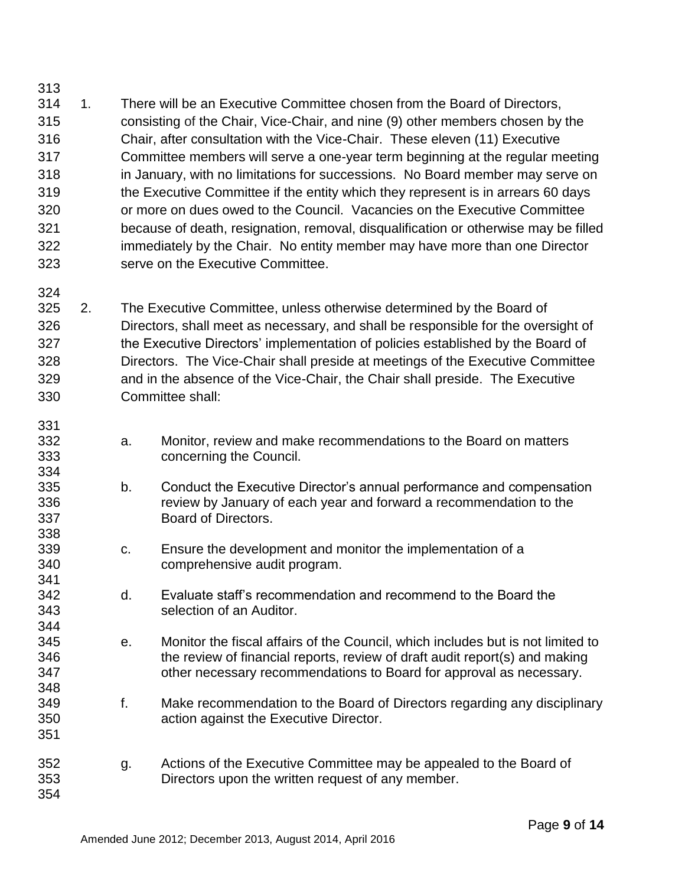- 1. There will be an Executive Committee chosen from the Board of Directors, consisting of the Chair, Vice-Chair, and nine (9) other members chosen by the Chair, after consultation with the Vice-Chair. These eleven (11) Executive Committee members will serve a one-year term beginning at the regular meeting in January, with no limitations for successions. No Board member may serve on the Executive Committee if the entity which they represent is in arrears 60 days or more on dues owed to the Council. Vacancies on the Executive Committee because of death, resignation, removal, disqualification or otherwise may be filled immediately by the Chair. No entity member may have more than one Director serve on the Executive Committee.
- 2. The Executive Committee, unless otherwise determined by the Board of Directors, shall meet as necessary, and shall be responsible for the oversight of the Executive Directors' implementation of policies established by the Board of Directors. The Vice-Chair shall preside at meetings of the Executive Committee and in the absence of the Vice-Chair, the Chair shall preside. The Executive Committee shall:

- a. Monitor, review and make recommendations to the Board on matters concerning the Council.
- b. Conduct the Executive Director's annual performance and compensation review by January of each year and forward a recommendation to the Board of Directors.
- c. Ensure the development and monitor the implementation of a comprehensive audit program.
- d. Evaluate staff's recommendation and recommend to the Board the selection of an Auditor.
- e. Monitor the fiscal affairs of the Council, which includes but is not limited to the review of financial reports, review of draft audit report(s) and making other necessary recommendations to Board for approval as necessary.
- f. Make recommendation to the Board of Directors regarding any disciplinary action against the Executive Director.
- g. Actions of the Executive Committee may be appealed to the Board of Directors upon the written request of any member.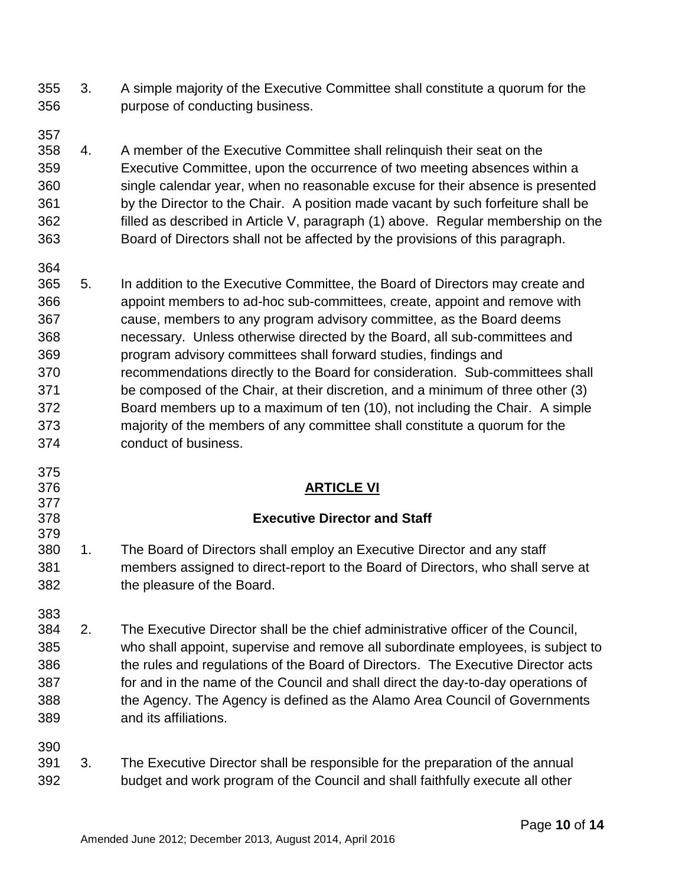- 3. A simple majority of the Executive Committee shall constitute a quorum for the purpose of conducting business.
- 4. A member of the Executive Committee shall relinquish their seat on the Executive Committee, upon the occurrence of two meeting absences within a single calendar year, when no reasonable excuse for their absence is presented by the Director to the Chair. A position made vacant by such forfeiture shall be filled as described in Article V, paragraph (1) above. Regular membership on the Board of Directors shall not be affected by the provisions of this paragraph.
- 5. In addition to the Executive Committee, the Board of Directors may create and appoint members to ad-hoc sub-committees, create, appoint and remove with cause, members to any program advisory committee, as the Board deems necessary. Unless otherwise directed by the Board, all sub-committees and program advisory committees shall forward studies, findings and recommendations directly to the Board for consideration. Sub-committees shall be composed of the Chair, at their discretion, and a minimum of three other (3) Board members up to a maximum of ten (10), not including the Chair. A simple majority of the members of any committee shall constitute a quorum for the conduct of business.

## **ARTICLE VI**

## **Executive Director and Staff**

- 1. The Board of Directors shall employ an Executive Director and any staff members assigned to direct-report to the Board of Directors, who shall serve at the pleasure of the Board.
- 

- 2. The Executive Director shall be the chief administrative officer of the Council, who shall appoint, supervise and remove all subordinate employees, is subject to the rules and regulations of the Board of Directors. The Executive Director acts for and in the name of the Council and shall direct the day-to-day operations of the Agency. The Agency is defined as the Alamo Area Council of Governments and its affiliations.
- 3. The Executive Director shall be responsible for the preparation of the annual budget and work program of the Council and shall faithfully execute all other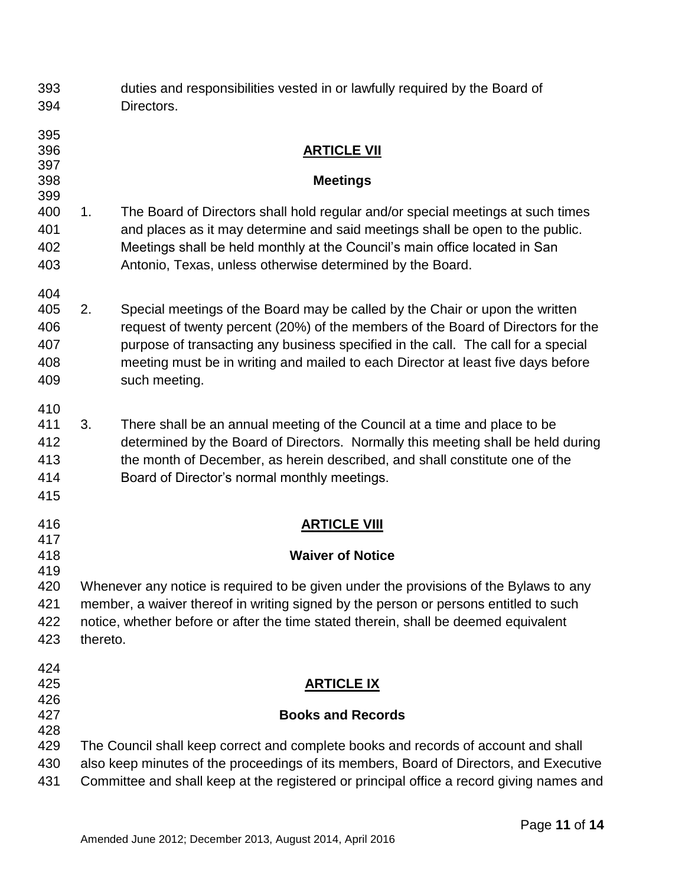| 393<br>394                             |          | duties and responsibilities vested in or lawfully required by the Board of<br>Directors.                                                                                                                                                                                                                                                                   |
|----------------------------------------|----------|------------------------------------------------------------------------------------------------------------------------------------------------------------------------------------------------------------------------------------------------------------------------------------------------------------------------------------------------------------|
| 395<br>396<br>397<br>398               |          | <b>ARTICLE VII</b><br><b>Meetings</b>                                                                                                                                                                                                                                                                                                                      |
| 399<br>400<br>401<br>402<br>403        | 1.       | The Board of Directors shall hold regular and/or special meetings at such times<br>and places as it may determine and said meetings shall be open to the public.<br>Meetings shall be held monthly at the Council's main office located in San<br>Antonio, Texas, unless otherwise determined by the Board.                                                |
| 404<br>405<br>406<br>407<br>408<br>409 | 2.       | Special meetings of the Board may be called by the Chair or upon the written<br>request of twenty percent (20%) of the members of the Board of Directors for the<br>purpose of transacting any business specified in the call. The call for a special<br>meeting must be in writing and mailed to each Director at least five days before<br>such meeting. |
| 410<br>411<br>412<br>413<br>414<br>415 | 3.       | There shall be an annual meeting of the Council at a time and place to be<br>determined by the Board of Directors. Normally this meeting shall be held during<br>the month of December, as herein described, and shall constitute one of the<br>Board of Director's normal monthly meetings.                                                               |
| 416<br>417                             |          | <b>ARTICLE VIII</b>                                                                                                                                                                                                                                                                                                                                        |
| 418<br>419                             |          | <b>Waiver of Notice</b>                                                                                                                                                                                                                                                                                                                                    |
| 420<br>421<br>422<br>423               | thereto. | Whenever any notice is required to be given under the provisions of the Bylaws to any<br>member, a waiver thereof in writing signed by the person or persons entitled to such<br>notice, whether before or after the time stated therein, shall be deemed equivalent                                                                                       |
| 424<br>425<br>426                      |          | <b>ARTICLE IX</b>                                                                                                                                                                                                                                                                                                                                          |
| 427                                    |          | <b>Books and Records</b>                                                                                                                                                                                                                                                                                                                                   |
| 428<br>429<br>430<br>431               |          | The Council shall keep correct and complete books and records of account and shall<br>also keep minutes of the proceedings of its members, Board of Directors, and Executive<br>Committee and shall keep at the registered or principal office a record giving names and                                                                                   |
|                                        |          |                                                                                                                                                                                                                                                                                                                                                            |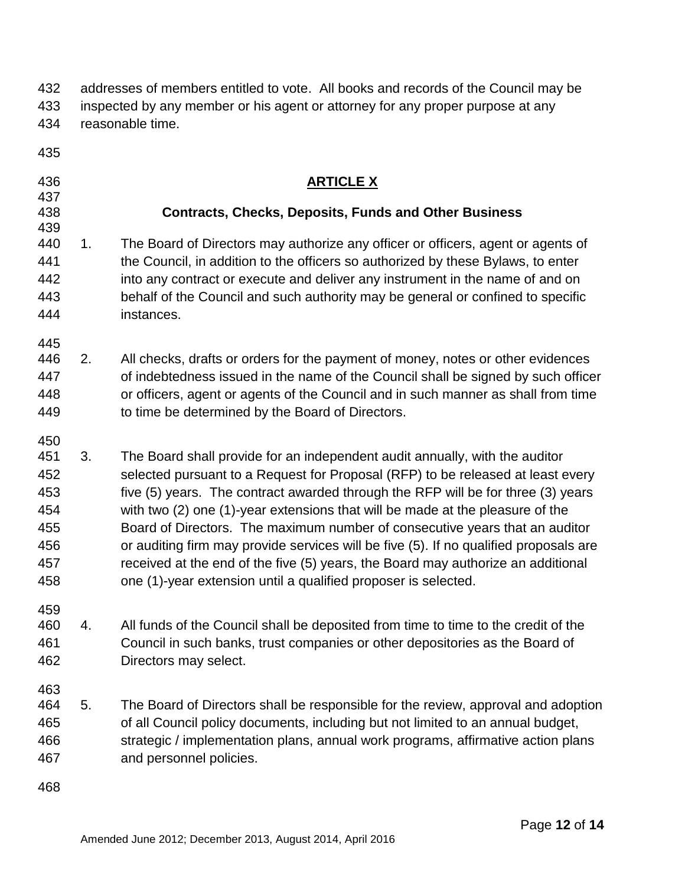| 432<br>433<br>434                                           | addresses of members entitled to vote. All books and records of the Council may be<br>inspected by any member or his agent or attorney for any proper purpose at any<br>reasonable time. |                                                                                                                                                                                                                                                                                                                                                                                                                                                                                                                                                                                                                                                                   |  |
|-------------------------------------------------------------|------------------------------------------------------------------------------------------------------------------------------------------------------------------------------------------|-------------------------------------------------------------------------------------------------------------------------------------------------------------------------------------------------------------------------------------------------------------------------------------------------------------------------------------------------------------------------------------------------------------------------------------------------------------------------------------------------------------------------------------------------------------------------------------------------------------------------------------------------------------------|--|
| 435                                                         |                                                                                                                                                                                          |                                                                                                                                                                                                                                                                                                                                                                                                                                                                                                                                                                                                                                                                   |  |
| 436<br>437                                                  |                                                                                                                                                                                          | <b>ARTICLE X</b>                                                                                                                                                                                                                                                                                                                                                                                                                                                                                                                                                                                                                                                  |  |
| 438<br>439                                                  |                                                                                                                                                                                          | <b>Contracts, Checks, Deposits, Funds and Other Business</b>                                                                                                                                                                                                                                                                                                                                                                                                                                                                                                                                                                                                      |  |
| 440<br>441<br>442<br>443<br>444                             | 1 <sub>1</sub>                                                                                                                                                                           | The Board of Directors may authorize any officer or officers, agent or agents of<br>the Council, in addition to the officers so authorized by these Bylaws, to enter<br>into any contract or execute and deliver any instrument in the name of and on<br>behalf of the Council and such authority may be general or confined to specific<br>instances.                                                                                                                                                                                                                                                                                                            |  |
| 445<br>446<br>447<br>448<br>449                             | 2.                                                                                                                                                                                       | All checks, drafts or orders for the payment of money, notes or other evidences<br>of indebtedness issued in the name of the Council shall be signed by such officer<br>or officers, agent or agents of the Council and in such manner as shall from time<br>to time be determined by the Board of Directors.                                                                                                                                                                                                                                                                                                                                                     |  |
| 450<br>451<br>452<br>453<br>454<br>455<br>456<br>457<br>458 | 3.                                                                                                                                                                                       | The Board shall provide for an independent audit annually, with the auditor<br>selected pursuant to a Request for Proposal (RFP) to be released at least every<br>five (5) years. The contract awarded through the RFP will be for three (3) years<br>with two (2) one (1)-year extensions that will be made at the pleasure of the<br>Board of Directors. The maximum number of consecutive years that an auditor<br>or auditing firm may provide services will be five (5). If no qualified proposals are<br>received at the end of the five (5) years, the Board may authorize an additional<br>one (1)-year extension until a qualified proposer is selected. |  |
| 459<br>460<br>461<br>462                                    | 4.                                                                                                                                                                                       | All funds of the Council shall be deposited from time to time to the credit of the<br>Council in such banks, trust companies or other depositories as the Board of<br>Directors may select.                                                                                                                                                                                                                                                                                                                                                                                                                                                                       |  |
| 463<br>464<br>465<br>466<br>467                             | 5.                                                                                                                                                                                       | The Board of Directors shall be responsible for the review, approval and adoption<br>of all Council policy documents, including but not limited to an annual budget,<br>strategic / implementation plans, annual work programs, affirmative action plans<br>and personnel policies.                                                                                                                                                                                                                                                                                                                                                                               |  |
| 468                                                         |                                                                                                                                                                                          |                                                                                                                                                                                                                                                                                                                                                                                                                                                                                                                                                                                                                                                                   |  |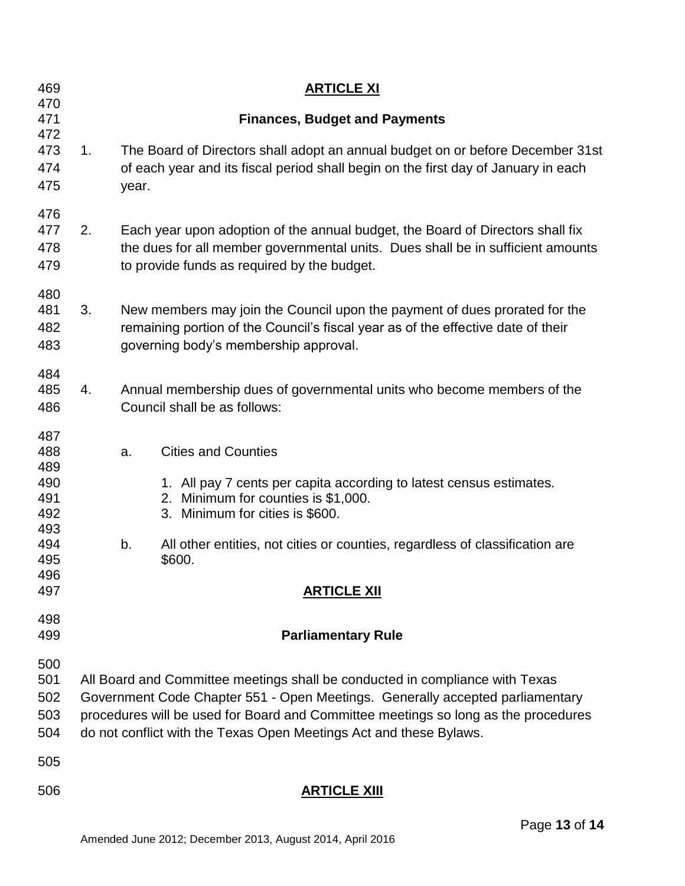| 469<br>470                                                  |                                                                                                                                                                                                                                                                                                                           | <b>ARTICLE XI</b>                                                                                                                                                                                                |                                                                                                                                                                                                                                                                       |  |  |
|-------------------------------------------------------------|---------------------------------------------------------------------------------------------------------------------------------------------------------------------------------------------------------------------------------------------------------------------------------------------------------------------------|------------------------------------------------------------------------------------------------------------------------------------------------------------------------------------------------------------------|-----------------------------------------------------------------------------------------------------------------------------------------------------------------------------------------------------------------------------------------------------------------------|--|--|
| 471                                                         | <b>Finances, Budget and Payments</b>                                                                                                                                                                                                                                                                                      |                                                                                                                                                                                                                  |                                                                                                                                                                                                                                                                       |  |  |
| 472<br>473<br>474<br>475                                    | 1.                                                                                                                                                                                                                                                                                                                        | year.                                                                                                                                                                                                            | The Board of Directors shall adopt an annual budget on or before December 31st<br>of each year and its fiscal period shall begin on the first day of January in each                                                                                                  |  |  |
| 476<br>477<br>478<br>479                                    | 2.                                                                                                                                                                                                                                                                                                                        | Each year upon adoption of the annual budget, the Board of Directors shall fix<br>the dues for all member governmental units. Dues shall be in sufficient amounts<br>to provide funds as required by the budget. |                                                                                                                                                                                                                                                                       |  |  |
| 480<br>481<br>482<br>483                                    | 3.                                                                                                                                                                                                                                                                                                                        | New members may join the Council upon the payment of dues prorated for the<br>remaining portion of the Council's fiscal year as of the effective date of their<br>governing body's membership approval.          |                                                                                                                                                                                                                                                                       |  |  |
| 484<br>485<br>486                                           | 4.                                                                                                                                                                                                                                                                                                                        | Annual membership dues of governmental units who become members of the<br>Council shall be as follows:                                                                                                           |                                                                                                                                                                                                                                                                       |  |  |
| 487<br>488<br>489<br>490<br>491<br>492<br>493<br>494<br>495 |                                                                                                                                                                                                                                                                                                                           | a.<br>b.                                                                                                                                                                                                         | <b>Cities and Counties</b><br>1. All pay 7 cents per capita according to latest census estimates.<br>2. Minimum for counties is \$1,000.<br>3. Minimum for cities is \$600.<br>All other entities, not cities or counties, regardless of classification are<br>\$600. |  |  |
| 496<br>497                                                  |                                                                                                                                                                                                                                                                                                                           |                                                                                                                                                                                                                  | <u>ARTICLE XII</u>                                                                                                                                                                                                                                                    |  |  |
| 498<br>499                                                  | <b>Parliamentary Rule</b>                                                                                                                                                                                                                                                                                                 |                                                                                                                                                                                                                  |                                                                                                                                                                                                                                                                       |  |  |
| 500<br>501<br>502<br>503<br>504                             | All Board and Committee meetings shall be conducted in compliance with Texas<br>Government Code Chapter 551 - Open Meetings. Generally accepted parliamentary<br>procedures will be used for Board and Committee meetings so long as the procedures<br>do not conflict with the Texas Open Meetings Act and these Bylaws. |                                                                                                                                                                                                                  |                                                                                                                                                                                                                                                                       |  |  |
| 505                                                         |                                                                                                                                                                                                                                                                                                                           |                                                                                                                                                                                                                  |                                                                                                                                                                                                                                                                       |  |  |
| 506                                                         |                                                                                                                                                                                                                                                                                                                           |                                                                                                                                                                                                                  | <b>ARTICLE XIII</b>                                                                                                                                                                                                                                                   |  |  |